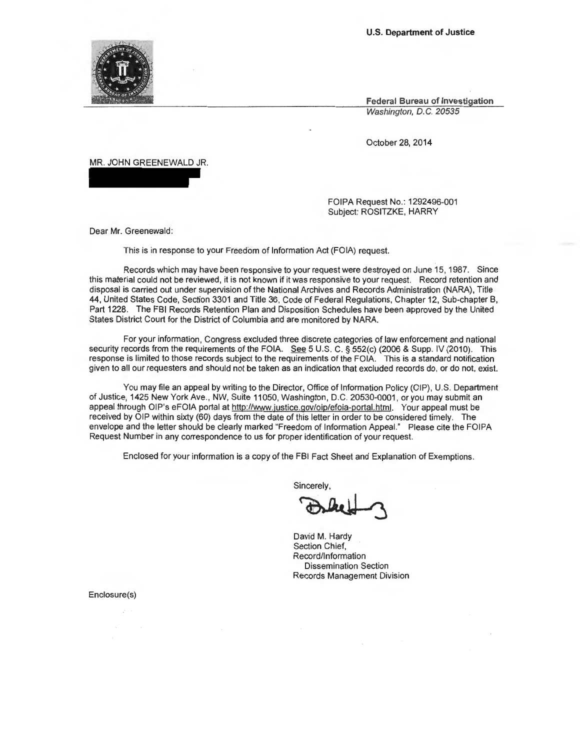**U.S. Department of Justice** 

**Federal Bureau of Investigation**  Washington, D.C. 20535

October 28, 2014

MR. JOHN GREENEWALD JR.

FOIPA Request No.: 1292496-001 Subject: ROSITZKE, HARRY

Dear Mr. Greenewald:

This is in response to your Freedom of Information Act (FOIA) request.

Records which may have been responsive to your request were destroyed on June 15, 1987. Since this material could not be reviewed, it is not known if it was responsive to your request. Record retention and disposal is carried out under supervision of the National Archives and Records Administration (NARA), Title 44, United States Code, Section 3301 and Title 36, Code of Federal Regulations, Chapter 12, Sub-chapter B, Part 1228. The FBI Records Retention Plan and Disposition Schedules have been approved by the United States District Court for the District of Columbia and are monitored by NARA.

For your information, Congress excluded three discrete categories of law enforcement and national security records from the requirements of the FOIA. See 5 U.S. C. § 552(c) (2006 & Supp. IV (2010). This response is limited to those records subject to the requirements of the FOIA. This is a standard notification given to all our requesters and should not be taken as an indication that excluded records do, or do not, exist.

You may file an appeal by writing to the Director, Office of Information Policy (OIP), U.S. Department of Justice, 1425 New York Ave., NW, Suite 11050, Washington, D.C. 20530-0001, or you may submit an appeal through OIP's eFOIA portal at http://www.justice.gov/oip/efoia-portal.html. Your appeal must be received by OIP within sixty (60) days from the date of this letter in order to be considered timely. The envelope and the letter should be clearly marked "Freedom of Information Appeal." Please cite the FOIPA Request Number in any correspondence to us for proper identification of your request.

Enclosed for your information is a copy of the FBI Fact Sheet and Explanation of Exemptions.

**Sincerely** 

FBI Fact Sheet and Explanation of Exemptions.<br>incerely,<br>and M. Hardy

David M. Hardy Section Chief, Record/Information Dissemination Section Records Management Division

Enclosure(s)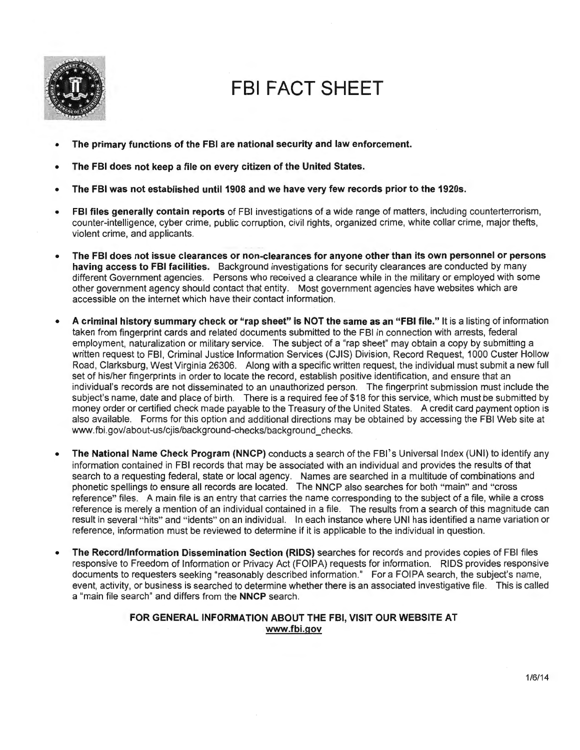

# **FBI FACT SHEET**

- **The primary functions of the FBI are national security and law enforcement.**
- **The FBI does not keep a file on every citizen of the United States.**
- **The FBI was not established until1908 and we have very few records prior to the 1920s.**
- **FBI files generally contain reports** of FBI investigations of a wide range of matters, including counterterrorism, counter-intelligence, cyber crime, public corruption, civil rights, organized crime, white collar crime, major thefts, violent crime, and applicants.
- **The FBI does not issue clearances or non-clearances for anyone other than its own personnel or persons having access to FBI facilities.** Background investigations for security clearances are conducted by many different Government agencies. Persons who received a clearance while in the military or employed with some other government agency should contact that entity. Most government agencies have websites which are accessible on the internet which have their contact information.
- **A criminal history summary check or "rap sheet" is NOT the same as an "FBI file."** It is a listing of information taken from fingerprint cards and related documents submitted to the FBI in connection with arrests, federal employment, naturalization or military service. The subject of a "rap sheet" may obtain a copy by submitting a written request to FBI, Criminal Justice Information Services (CJIS) Division, Record Request, 1000 Custer Hollow Road , Clarksburg, West Virginia 26306. Along with a specific written request, the individual must submit a new full set of his/her fingerprints in order to locate the record, establish positive identification, and ensure that an individual's records are not disseminated to an unauthorized person. The fingerprint submission must include the subject's name, date and place of birth. There is a required fee of \$18 for this service, which must be submitted by money order or certified check made payable to the Treasury of the United States. A credit card payment option is also available. Forms for this option and additional directions may be obtained by accessing the FBI Web site at www.fbi.gov/about-us/cjis/background-checks/background\_checks.
- The National Name Check Program (NNCP) conducts a search of the FBI's Universal Index (UNI) to identify any information contained in FBI records that may be associated with an individual and provides the results of that search to a requesting federal, state or local agency. Names are searched in a multitude of combinations and phonetic spellings to ensure all records are located. The NNCP also searches for both "main" and "cross reference" files. Amain file is an entry that carries the name corresponding to the subject of a file, while a cross reference is merely a mention of an individual contained in a file. The results from a search of this magnitude can result in several "hits" and "idents" on an individual. In each instance where UNI has identified a name variation or reference, information must be reviewed to determine if it is applicable to the individual in question.
- **The Record/Information Dissemination Section (RIDS)** searches for records and provides copies of FBI files responsive to Freedom of Information or Privacy Act (FOIPA) requests for information. RIDS provides responsive documents to requesters seeking "reasonably described information." For a FOIPA search, the subject's name, event, activity, or business is searched to determine whether there is an associated investigative file. This is called a "main file search" and differs from the **NNCP** search.

# **FOR GENERAL INFORMATION ABOUT THE FBI, VISIT OUR WEBSITE AT www.fbi.gov**